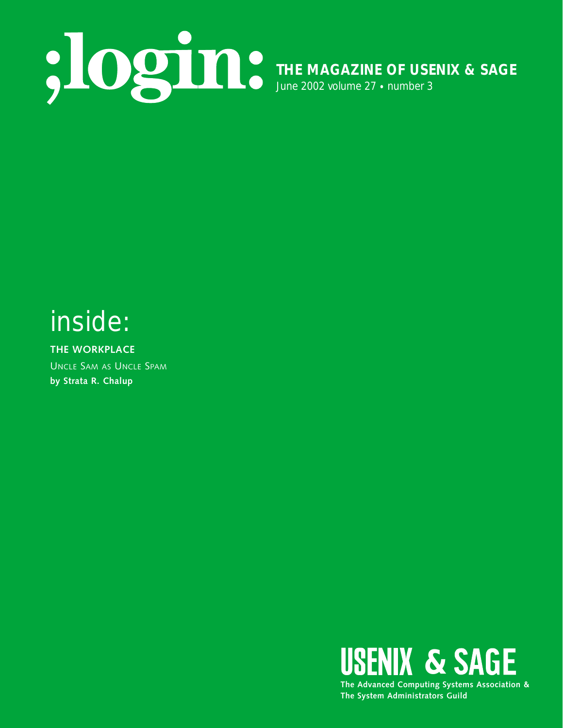

## inside:

**THE WORKPLACE** UNCLE SAM AS UNCLE SPAM **by Strata R. Chalup**



**The System Administrators Guild**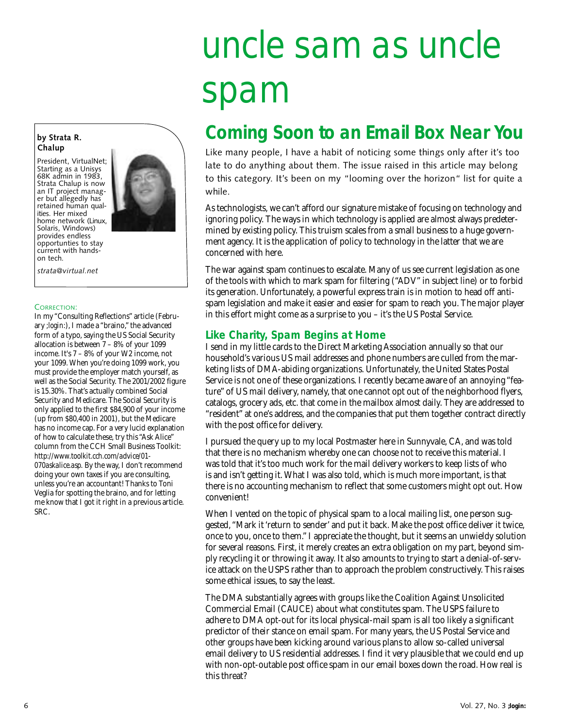# uncle sam as uncle spam

### **Coming Soon to an Email Box Near You**

Like many people, I have a habit of noticing some things only after it's too late to do anything about them. The issue raised in this article may belong to this category. It's been on my "looming over the horizon" list for quite a while.

As technologists, we can't afford our signature mistake of focusing on technology and ignoring policy. The ways in which technology is applied are almost always predetermined by existing policy. This truism scales from a small business to a huge government agency. It is the application of policy to technology in the latter that we are concerned with here.

The war against spam continues to escalate. Many of us see current legislation as one of the tools with which to mark spam for filtering ("ADV" in subject line) or to forbid its generation. Unfortunately, a powerful express train is in motion to head off antispam legislation and make it easier and easier for spam to reach you. The major player in this effort might come as a surprise to you – it's the US Postal Service.

#### **Like Charity, Spam Begins at Home**

I send in my little cards to the Direct Marketing Association annually so that our household's various US mail addresses and phone numbers are culled from the marketing lists of DMA-abiding organizations. Unfortunately, the United States Postal Service is not one of these organizations. I recently became aware of an annoying "feature" of US mail delivery, namely, that one cannot opt out of the neighborhood flyers, catalogs, grocery ads, etc. that come in the mailbox almost daily. They are addressed to "resident" at one's address, and the companies that put them together contract directly with the post office for delivery.

I pursued the query up to my local Postmaster here in Sunnyvale, CA, and was told that there is no mechanism whereby one can choose not to receive this material. I was told that it's too much work for the mail delivery workers to keep lists of who is and isn't getting it. What I was also told, which is much more important, is that there is no accounting mechanism to reflect that some customers might opt out. How convenient!

When I vented on the topic of physical spam to a local mailing list, one person suggested, "Mark it 'return to sender' and put it back. Make the post office deliver it twice, once to you, once to them." I appreciate the thought, but it seems an unwieldy solution for several reasons. First, it merely creates an extra obligation on my part, beyond simply recycling it or throwing it away. It also amounts to trying to start a denial-of-service attack on the USPS rather than to approach the problem constructively. This raises some ethical issues, to say the least.

The DMA substantially agrees with groups like the Coalition Against Unsolicited Commercial Email (CAUCE) about what constitutes spam. The USPS failure to adhere to DMA opt-out for its local physical-mail spam is all too likely a significant predictor of their stance on email spam. For many years, the US Postal Service and other groups have been kicking around various plans to allow so-called universal email delivery to US residential addresses. I find it very plausible that we could end up with non-opt-outable post office spam in our email boxes down the road. How real is this threat?

#### **by Strata R. Chalup**

President, VirtualNet; Starting as a Unisys 68K admin in 1983, Strata Chalup is now an IT project manager but allegedly has retained human qualities. Her mixed home network (Linux, Solaris, Windows) provides endless opportunties to stay current with handson tech.

*strata@virtual.net* 

#### CORRECTION:

In my "Consulting Reflections" article (February *;login:*), I made a "braino," the advanced form of a typo, saying the US Social Security allocation is between 7 – 8% of your 1099 income. It's 7 – 8% of your W2 income, not your 1099. When you're doing 1099 work, you must provide the employer match yourself, as well as the Social Security. The 2001/2002 figure is 15.30%. That's actually combined Social Security and Medicare. The Social Security is only applied to the first \$84,900 of your income (up from \$80,400 in 2001), but the Medicare has no income cap. For a very lucid explanation of how to calculate these, try this "Ask Alice" column from the CCH Small Business Toolkit: *<http://www.toolkit.cch.com/advice/01-> 070askalice.asp.* By the way, I don't recommend doing your own taxes if you are consulting, unless you're an accountant! Thanks to Toni Veglia for spotting the braino, and for letting me know that I got it right in a previous article. SRC.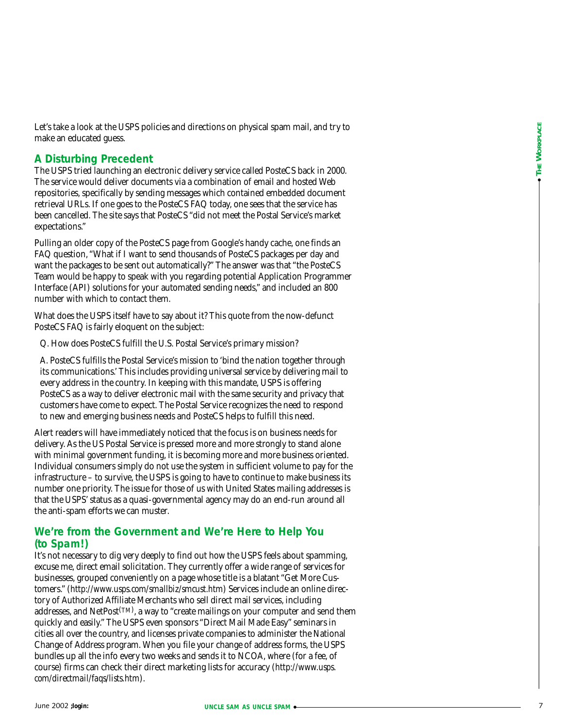Let's take a look at the USPS policies and directions on physical spam mail, and try to make an educated guess.

#### **A Disturbing Precedent**

The USPS tried launching an electronic delivery service called PosteCS back in 2000. The service would deliver documents via a combination of email and hosted Web repositories, specifically by sending messages which contained embedded document retrieval URLs. If one goes to the PosteCS FAQ today, one sees that the service has been cancelled. The site says that PosteCS "did not meet the Postal Service's market expectations."

Pulling an older copy of the PosteCS page from Google's handy cache, one finds an FAQ question, "What if I want to send thousands of PosteCS packages per day and want the packages to be sent out automatically?" The answer was that "the PosteCS Team would be happy to speak with you regarding potential Application Programmer Interface (API) solutions for your automated sending needs," and included an 800 number with which to contact them.

What does the USPS itself have to say about it? This quote from the now-defunct PosteCS FAQ is fairly eloquent on the subject:

Q. How does PosteCS fulfill the U.S. Postal Service's primary mission?

A. PosteCS fulfills the Postal Service's mission to 'bind the nation together through its communications.' This includes providing universal service by delivering mail to every address in the country. In keeping with this mandate, USPS is offering PosteCS as a way to deliver electronic mail with the same security and privacy that customers have come to expect. The Postal Service recognizes the need to respond to new and emerging business needs and PosteCS helps to fulfill this need.

Alert readers will have immediately noticed that the focus is on business needs for delivery. As the US Postal Service is pressed more and more strongly to stand alone with minimal government funding, it is becoming more and more business oriented. Individual consumers simply do not use the system in sufficient volume to pay for the infrastructure – to survive, the USPS is going to have to continue to make business its number one priority. The issue for those of us with United States mailing addresses is that the USPS' status as a quasi-governmental agency may do an end-run around all the anti-spam efforts we can muster.

#### **We're from the Government and We're Here to Help You (to Spam!)**

It's not necessary to dig very deeply to find out how the USPS feels about spamming, excuse me, direct email solicitation. They currently offer a wide range of services for businesses, grouped conveniently on a page whose title is a blatant "Get More Customers." (*<http://www.usps.com/smallbiz/smcust.htm>*) Services include an online directory of Authorized Affiliate Merchants who sell direct mail services, including addresses, and  $\operatorname{NetPost}^{(\text{TM})}$ , a way to "create mailings on your computer and send them quickly and easily." The USPS even sponsors "Direct Mail Made Easy" seminars in cities all over the country, and licenses private companies to administer the National Change of Address program. When you file your change of address forms, the USPS bundles up all the info every two weeks and sends it to NCOA, where (for a fee, of course) firms can check their direct marketing lists for accuracy (*[http://www.usps.](http://www.usps) com/directmail/faqs/lists.htm*).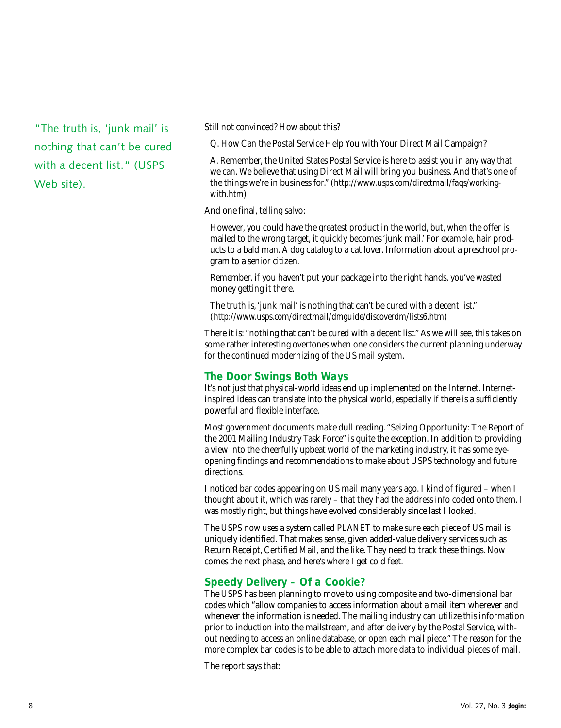"The truth is, 'junk mail' is nothing that can't be cured with a decent list." (USPS Web site).

Still not convinced? How about this?

Q. How Can the Postal Service Help You with Your Direct Mail Campaign?

A. Remember, the United States Postal Service is here to assist you in any way that we can. We believe that using Direct Mail will bring you business. And that's one of the things we're in business for." (*[http://www.usps.com/directmail/faqs/working](http://www.usps.com/directmail/faqs/working-with.htm)with.htm*)

And one final, telling salvo:

However, you could have the greatest product in the world, but, when the offer is mailed to the wrong target, it quickly becomes 'junk mail.' For example, hair products to a bald man. A dog catalog to a cat lover. Information about a preschool program to a senior citizen.

Remember, if you haven't put your package into the right hands, you've wasted money getting it there.

The truth is, 'junk mail' is nothing that can't be cured with a decent list." (*<http://www.usps.com/directmail/dmguide/discoverdm/lists6.htm>*)

There it is: "nothing that can't be cured with a decent list." As we will see, this takes on some rather interesting overtones when one considers the current planning underway for the continued modernizing of the US mail system.

#### **The Door Swings Both Ways**

It's not just that physical-world ideas end up implemented on the Internet. Internetinspired ideas can translate into the physical world, especially if there is a sufficiently powerful and flexible interface.

Most government documents make dull reading. "Seizing Opportunity: The Report of the 2001 Mailing Industry Task Force" is quite the exception. In addition to providing a view into the cheerfully upbeat world of the marketing industry, it has some eyeopening findings and recommendations to make about USPS technology and future directions.

I noticed bar codes appearing on US mail many years ago. I kind of figured – when I thought about it, which was rarely – that they had the address info coded onto them. I was mostly right, but things have evolved considerably since last I looked.

The USPS now uses a system called PLANET to make sure each piece of US mail is uniquely identified. That makes sense, given added-value delivery services such as Return Receipt, Certified Mail, and the like. They need to track these things. Now comes the next phase, and here's where I get cold feet.

#### **Speedy Delivery – Of a Cookie?**

The USPS has been planning to move to using composite and two-dimensional bar codes which "allow companies to access information about a mail item wherever and whenever the information is needed. The mailing industry can utilize this information prior to induction into the mailstream, and after delivery by the Postal Service, without needing to access an online database, or open each mail piece." The reason for the more complex bar codes is to be able to attach more data to individual pieces of mail.

The report says that: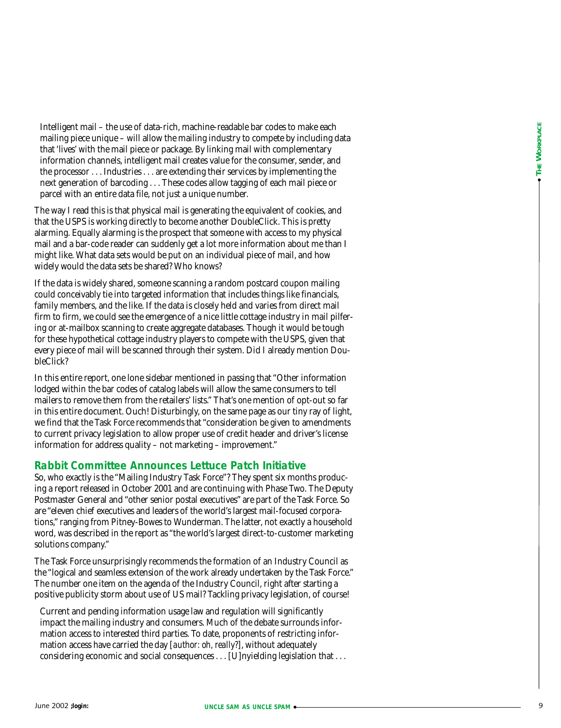Intelligent mail – the use of data-rich, machine-readable bar codes to make each mailing piece unique – will allow the mailing industry to compete by including data that 'lives' with the mail piece or package. By linking mail with complementary information channels, intelligent mail creates value for the consumer, sender, and the processor . . . Industries . . . are extending their services by implementing the next generation of barcoding . . . These codes allow tagging of each mail piece or parcel with an entire data file, not just a unique number.

The way I read this is that physical mail is generating the equivalent of cookies, and that the USPS is working directly to become another DoubleClick. This is pretty alarming. Equally alarming is the prospect that someone with access to my physical mail and a bar-code reader can suddenly get a lot more information about me than I might like. What data sets would be put on an individual piece of mail, and how widely would the data sets be shared? Who knows?

If the data is widely shared, someone scanning a random postcard coupon mailing could conceivably tie into targeted information that includes things like financials, family members, and the like. If the data is closely held and varies from direct mail firm to firm, we could see the emergence of a nice little cottage industry in mail pilfering or at-mailbox scanning to create aggregate databases. Though it would be tough for these hypothetical cottage industry players to compete with the USPS, given that every piece of mail will be scanned through their system. Did I already mention DoubleClick?

In this entire report, one lone sidebar mentioned in passing that "Other information lodged within the bar codes of catalog labels will allow the same consumers to tell mailers to remove them from the retailers' lists." That's *one* mention of opt-out so far in this entire document. Ouch! Disturbingly, on the same page as our tiny ray of light, we find that the Task Force recommends that "consideration be given to amendments to current privacy legislation to allow proper use of credit header and driver's license information for address quality – not marketing – improvement."

#### **Rabbit Committee Announces Lettuce Patch Initiative**

So, who exactly is the "Mailing Industry Task Force"? They spent six months producing a report released in October 2001 and are continuing with Phase Two. The Deputy Postmaster General and "other senior postal executives" are part of the Task Force. So are "eleven chief executives and leaders of the world's largest mail-focused corporations," ranging from Pitney-Bowes to Wunderman. The latter, not exactly a household word, was described in the report as "the world's largest direct-to-customer marketing solutions company."

The Task Force unsurprisingly recommends the formation of an Industry Council as the "logical and seamless extension of the work already undertaken by the Task Force." The number one item on the agenda of the Industry Council, right after starting a positive publicity storm about use of US mail? Tackling privacy legislation, of course!

Current and pending information usage law and regulation will significantly impact the mailing industry and consumers. Much of the debate surrounds information access to interested third parties. To date, proponents of restricting information access have carried the day [*author: oh, really?*], without adequately considering economic and social consequences . . . [U]nyielding legislation that . . .